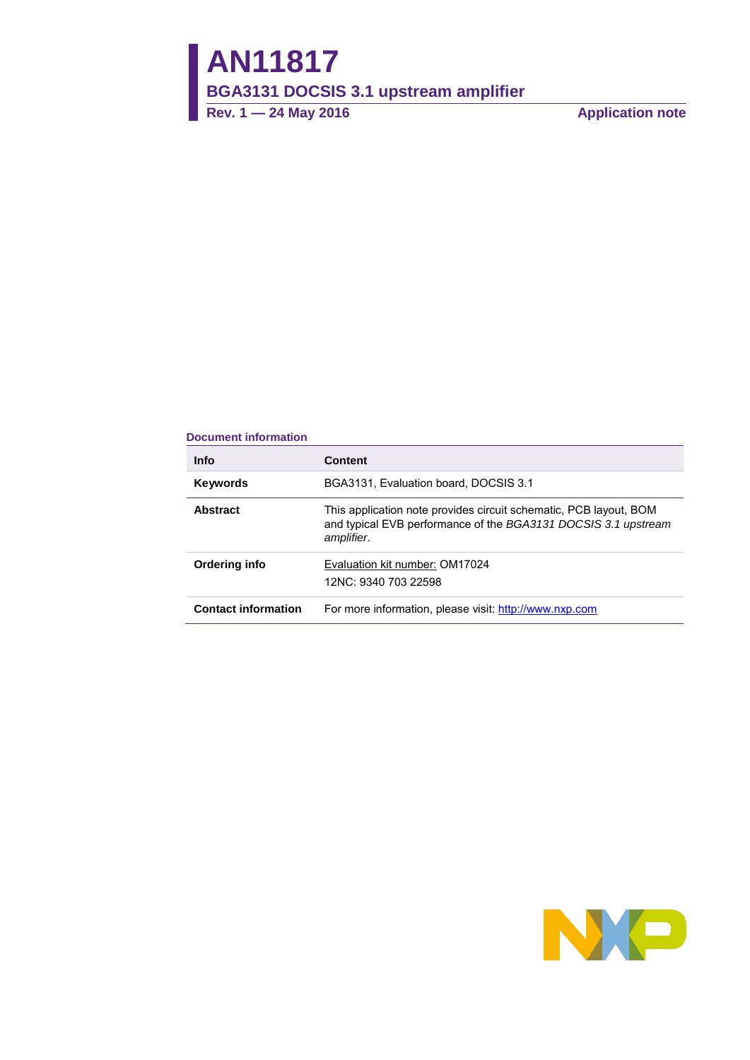**Rev. 1 — 24 May 2016 Application note**

#### **Document information**

| <b>Info</b>                | <b>Content</b>                                                                                                                                    |
|----------------------------|---------------------------------------------------------------------------------------------------------------------------------------------------|
| <b>Keywords</b>            | BGA3131, Evaluation board, DOCSIS 3.1                                                                                                             |
| <b>Abstract</b>            | This application note provides circuit schematic, PCB layout, BOM<br>and typical EVB performance of the BGA3131 DOCSIS 3.1 upstream<br>amplifier. |
| Ordering info              | Evaluation kit number: OM17024<br>12NC: 9340 703 22598                                                                                            |
| <b>Contact information</b> | For more information, please visit: http://www.nxp.com                                                                                            |

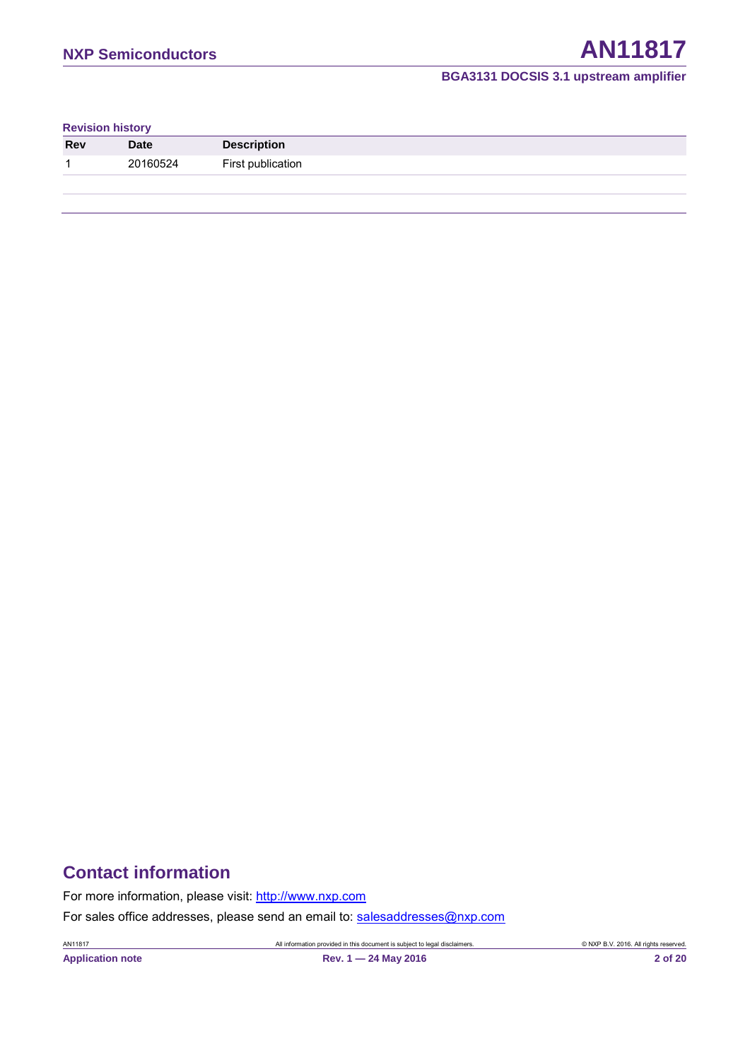#### **Revision history**

| <b>Rev</b> | <b>Date</b> | <b>Description</b> |
|------------|-------------|--------------------|
| ٠          | 20160524    | First publication  |
|            |             |                    |

## **Contact information**

For more information, please visit: [http://www.nxp.com](http://www.nxp.com/)

For sales office addresses, please send an email to: [salesaddresses@nxp.com](mailto:salesaddresses@nxp.com)

AN11817 All information provided in this document is subject to legal disclaimers. © NXP B.V. 2016. All rights reserved.

**Application note Rev. 1 — 24 May 2016 2 of 20**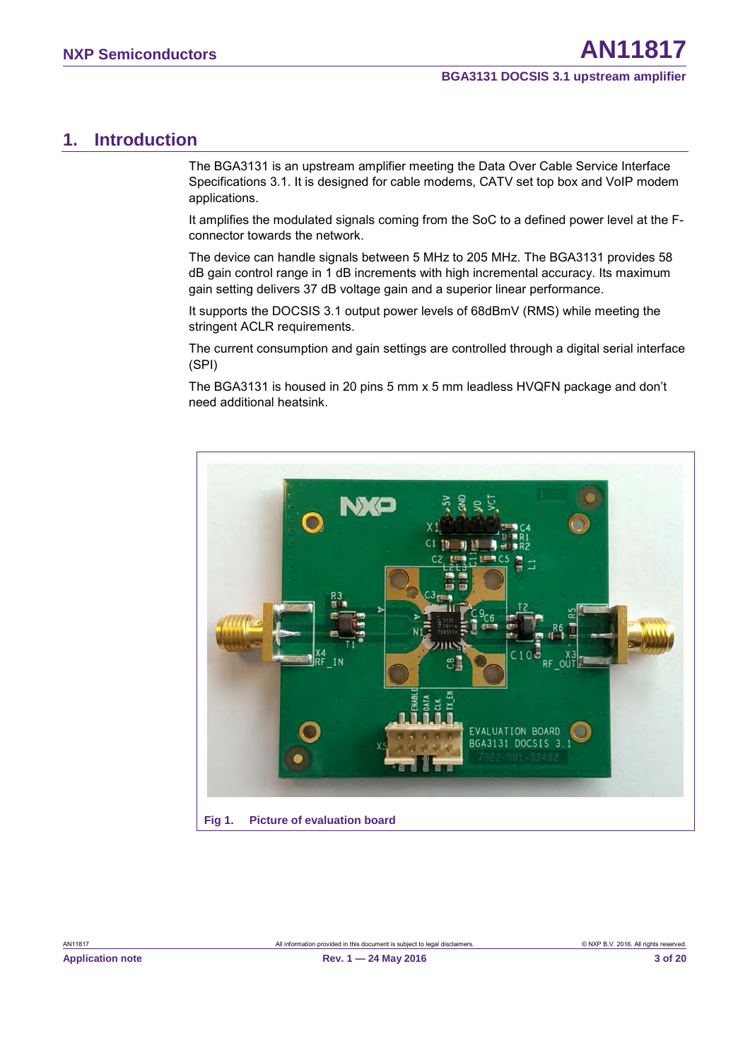## <span id="page-2-1"></span>**1. Introduction**

The BGA3131 is an upstream amplifier meeting the Data Over Cable Service Interface Specifications 3.1. It is designed for cable modems, CATV set top box and VoIP modem applications.

It amplifies the modulated signals coming from the SoC to a defined power level at the Fconnector towards the network.

The device can handle signals between 5 MHz to 205 MHz. The BGA3131 provides 58 dB gain control range in 1 dB increments with high incremental accuracy. Its maximum gain setting delivers 37 dB voltage gain and a superior linear performance.

It supports the DOCSIS 3.1 output power levels of 68dBmV (RMS) while meeting the stringent ACLR requirements.

The current consumption and gain settings are controlled through a digital serial interface (SPI)

The BGA3131 is housed in 20 pins 5 mm x 5 mm leadless HVQFN package and don't need additional heatsink.

<span id="page-2-0"></span>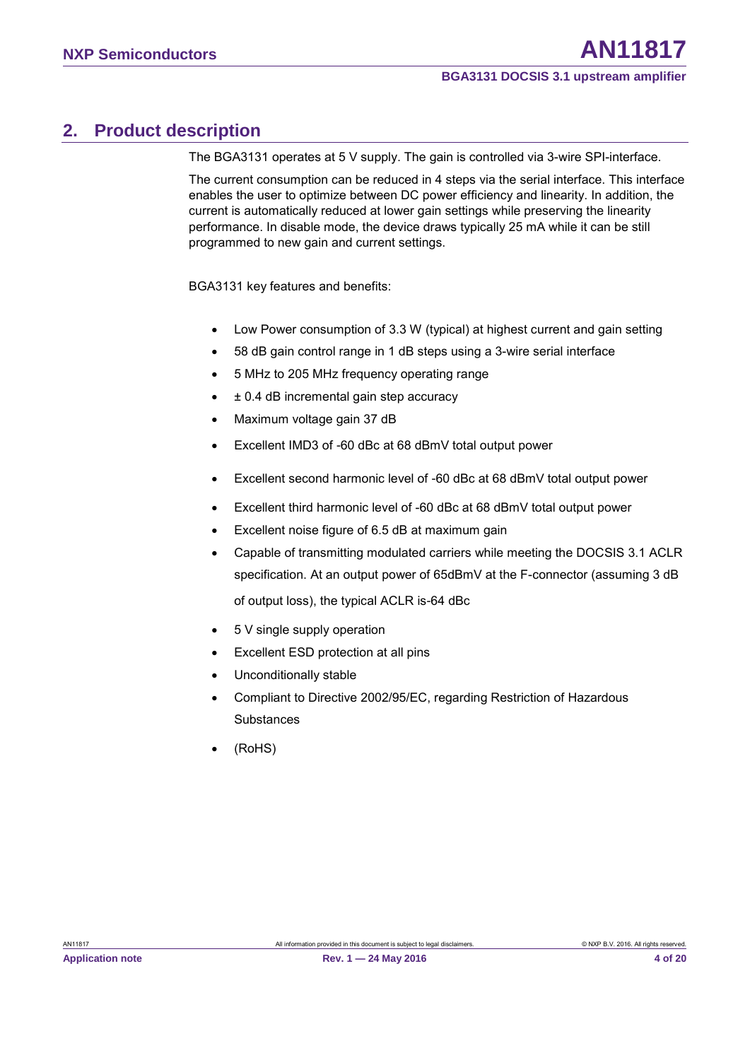## <span id="page-3-0"></span>**2. Product description**

The BGA3131 operates at 5 V supply. The gain is controlled via 3-wire SPI-interface.

The current consumption can be reduced in 4 steps via the serial interface. This interface enables the user to optimize between DC power efficiency and linearity. In addition, the current is automatically reduced at lower gain settings while preserving the linearity performance. In disable mode, the device draws typically 25 mA while it can be still programmed to new gain and current settings.

BGA3131 key features and benefits:

- Low Power consumption of 3.3 W (typical) at highest current and gain setting
- 58 dB gain control range in 1 dB steps using a 3-wire serial interface
- 5 MHz to 205 MHz frequency operating range
- $\cdot$   $\pm$  0.4 dB incremental gain step accuracy
- Maximum voltage gain 37 dB
- Excellent IMD3 of -60 dBc at 68 dBmV total output power
- Excellent second harmonic level of -60 dBc at 68 dBmV total output power
- Excellent third harmonic level of -60 dBc at 68 dBmV total output power
- Excellent noise figure of 6.5 dB at maximum gain
- Capable of transmitting modulated carriers while meeting the DOCSIS 3.1 ACLR specification. At an output power of 65dBmV at the F-connector (assuming 3 dB of output loss), the typical ACLR is-64 dBc
- 5 V single supply operation
- Excellent ESD protection at all pins
- Unconditionally stable
- Compliant to Directive 2002/95/EC, regarding Restriction of Hazardous **Substances**
- (RoHS)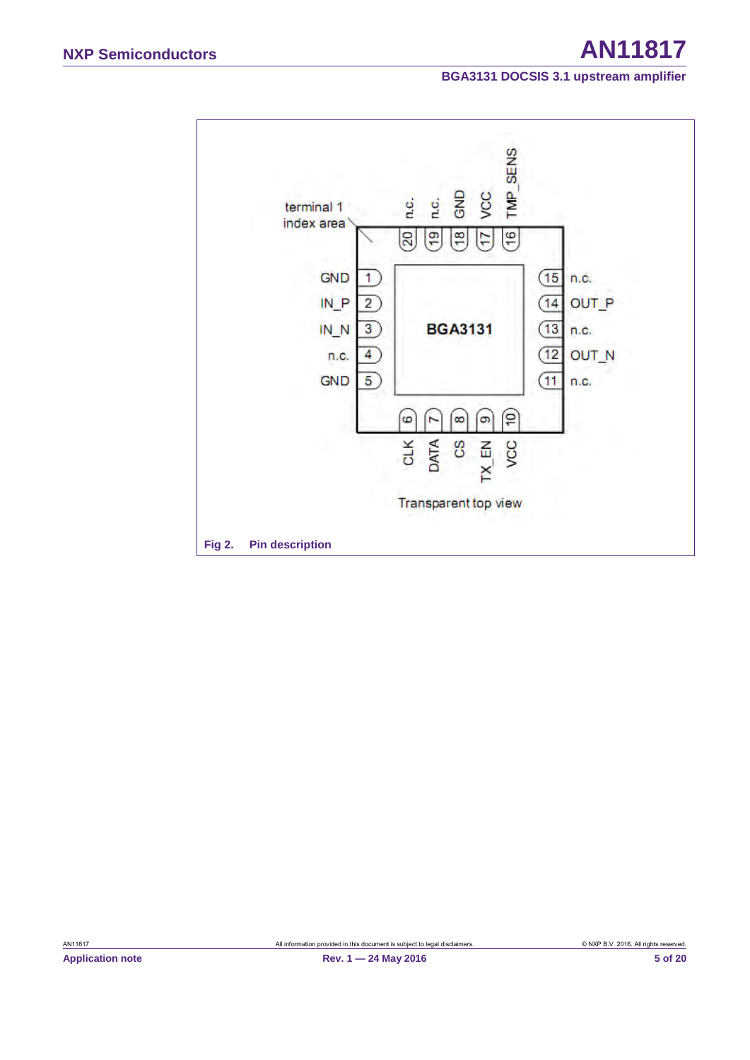<span id="page-4-0"></span>

AN11817 All information provided in this document is subject to legal disclaimers. © NXP B.V. 2016. All rights reserved.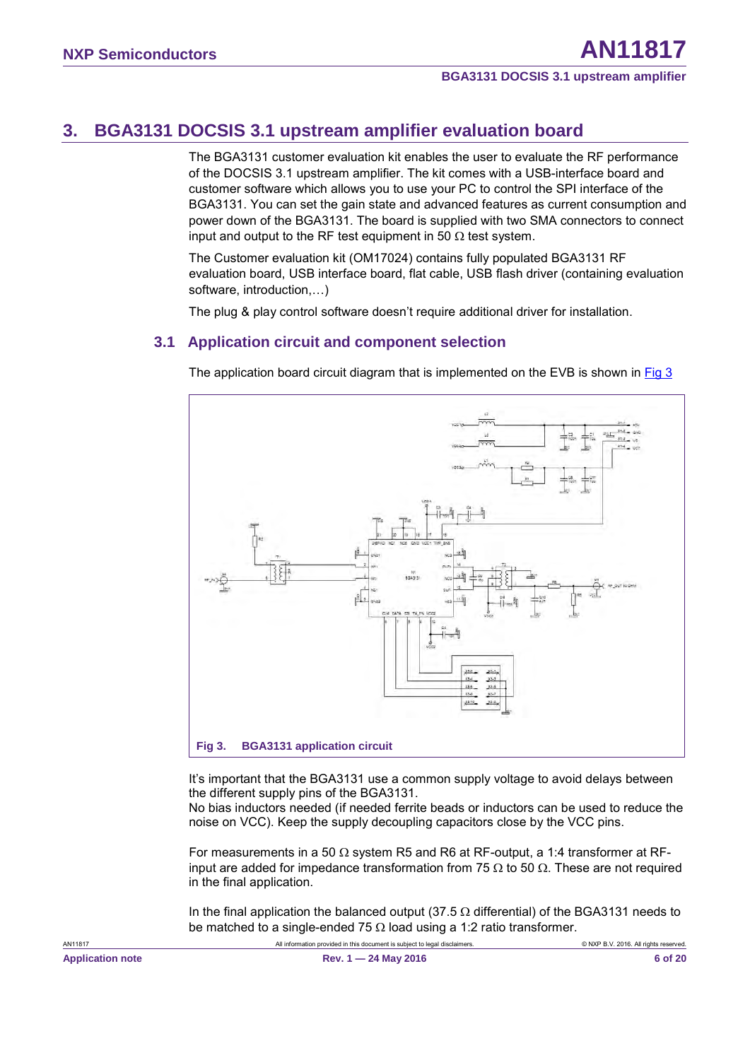## <span id="page-5-2"></span>**3. BGA3131 DOCSIS 3.1 upstream amplifier evaluation board**

The BGA3131 customer evaluation kit enables the user to evaluate the RF performance of the DOCSIS 3.1 upstream amplifier. The kit comes with a USB-interface board and customer software which allows you to use your PC to control the SPI interface of the BGA3131. You can set the gain state and advanced features as current consumption and power down of the BGA3131. The board is supplied with two SMA connectors to connect input and output to the RF test equipment in 50  $\Omega$  test system.

<span id="page-5-3"></span>The Customer evaluation kit (OM17024) contains fully populated BGA3131 RF evaluation board, USB interface board, flat cable, USB flash driver (containing evaluation software, introduction,…)

The plug & play control software doesn't require additional driver for installation.

## **3.1 Application circuit and component selection**

The application board circuit diagram that is implemented on the EVB is shown in [Fig 3](#page-5-0)



<span id="page-5-1"></span><span id="page-5-0"></span>It's important that the BGA3131 use a common supply voltage to avoid delays between the different supply pins of the BGA3131.

No bias inductors needed (if needed ferrite beads or inductors can be used to reduce the noise on VCC). Keep the supply decoupling capacitors close by the VCC pins.

For measurements in a 50  $\Omega$  system R5 and R6 at RF-output, a 1:4 transformer at RFinput are added for impedance transformation from 75 Ω to 50  $Ω$ . These are not required in the final application.

In the final application the balanced output (37.5  $\Omega$  differential) of the BGA3131 needs to be matched to a single-ended 75  $\Omega$  load using a 1:2 ratio transformer.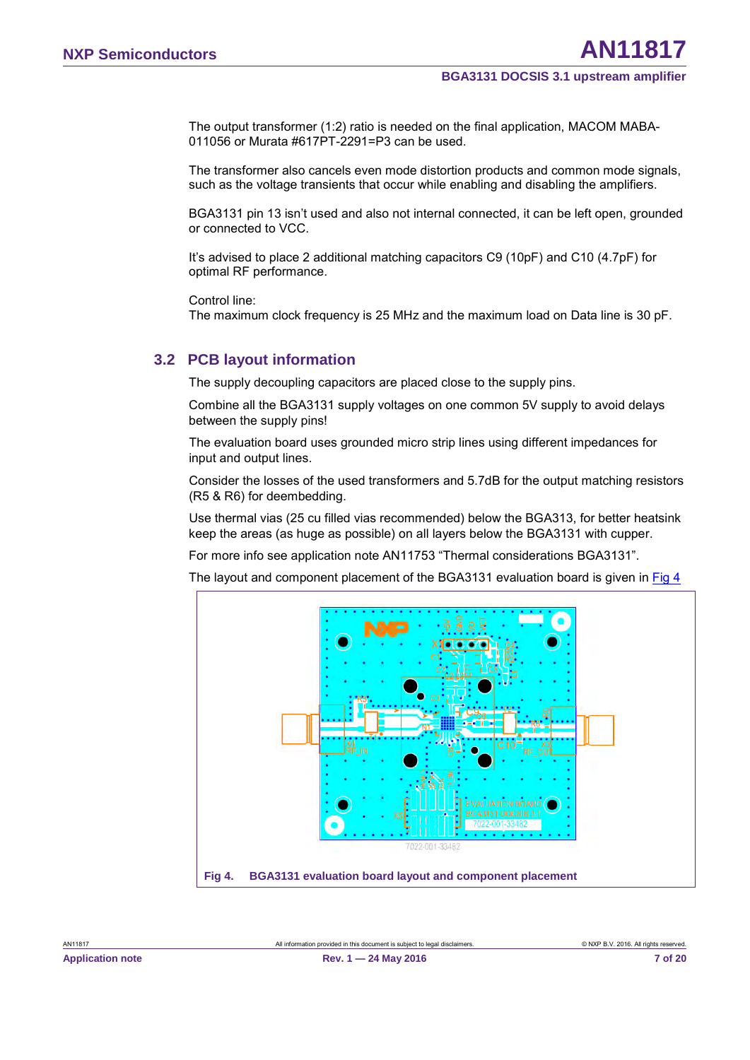The output transformer (1:2) ratio is needed on the final application, MACOM MABA-011056 or Murata #617PT-2291=P3 can be used.

The transformer also cancels even mode distortion products and common mode signals, such as the voltage transients that occur while enabling and disabling the amplifiers.

BGA3131 pin 13 isn't used and also not internal connected, it can be left open, grounded or connected to VCC.

It's advised to place 2 additional matching capacitors C9 (10pF) and C10 (4.7pF) for optimal RF performance.

<span id="page-6-2"></span>Control line:

The maximum clock frequency is 25 MHz and the maximum load on Data line is 30 pF.

## **3.2 PCB layout information**

The supply decoupling capacitors are placed close to the supply pins.

Combine all the BGA3131 supply voltages on one common 5V supply to avoid delays between the supply pins!

The evaluation board uses grounded micro strip lines using different impedances for input and output lines.

Consider the losses of the used transformers and 5.7dB for the output matching resistors (R5 & R6) for deembedding.

Use thermal vias (25 cu filled vias recommended) below the BGA313, for better heatsink keep the areas (as huge as possible) on all layers below the BGA3131 with cupper.

For more info see application note AN11753 "Thermal considerations BGA3131".

The layout and component placement of the BGA3131 evaluation board is given in [Fig 4](#page-6-0)

<span id="page-6-1"></span><span id="page-6-0"></span>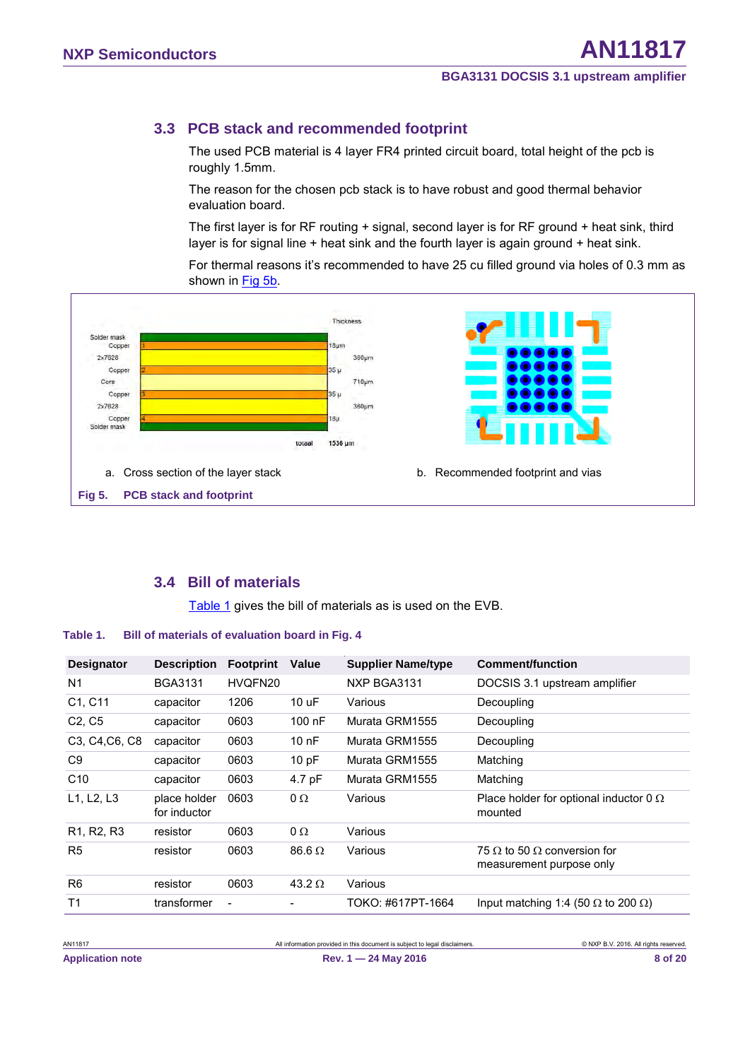## <span id="page-7-4"></span>**3.3 PCB stack and recommended footprint**

The used PCB material is 4 layer FR4 printed circuit board, total height of the pcb is roughly 1.5mm.

The reason for the chosen pcb stack is to have robust and good thermal behavior evaluation board.

The first layer is for RF routing + signal, second layer is for RF ground + heat sink, third layer is for signal line + heat sink and the fourth layer is again ground + heat sink.

For thermal reasons it's recommended to have 25 cu filled ground via holes of 0.3 mm as shown in Fig [5b.](#page-7-0)

<span id="page-7-2"></span>

## <span id="page-7-5"></span><span id="page-7-3"></span><span id="page-7-1"></span>**3.4 Bill of materials**

<span id="page-7-0"></span>[Table 1](#page-7-1) gives the bill of materials as is used on the EVB.

#### **Table 1. Bill of materials of evaluation board in Fig. 4**

| <b>Designator</b>                                                 | <b>Description</b>           | <b>Footprint</b>         | <b>Value</b>  | <b>Supplier Name/type</b> | <b>Comment/function</b>                                               |
|-------------------------------------------------------------------|------------------------------|--------------------------|---------------|---------------------------|-----------------------------------------------------------------------|
| N <sub>1</sub>                                                    | <b>BGA3131</b>               | HVQFN20                  |               | NXP BGA3131               | DOCSIS 3.1 upstream amplifier                                         |
| C1, C11                                                           | capacitor                    | 1206                     | 10 uF         | Various                   | Decoupling                                                            |
| C <sub>2</sub> , C <sub>5</sub>                                   | capacitor                    | 0603                     | $100$ nF      | Murata GRM1555            | Decoupling                                                            |
| C <sub>3</sub> , C <sub>4</sub> , C <sub>6</sub> , C <sub>8</sub> | capacitor                    | 0603                     | $100$ nF      | Murata GRM1555            | Decoupling                                                            |
| C <sub>9</sub>                                                    | capacitor                    | 0603                     | 10pF          | Murata GRM1555            | Matching                                                              |
| C10                                                               | capacitor                    | 0603                     | 4.7 pF        | Murata GRM1555            | Matching                                                              |
| L1, L2, L3                                                        | place holder<br>for inductor | 0603                     | $\Omega$      | Various                   | Place holder for optional inductor 0 $\Omega$<br>mounted              |
| R <sub>1</sub> , R <sub>2</sub> , R <sub>3</sub>                  | resistor                     | 0603                     | $\Omega$      | Various                   |                                                                       |
| R <sub>5</sub>                                                    | resistor                     | 0603                     | $86.6 \Omega$ | Various                   | 75 $\Omega$ to 50 $\Omega$ conversion for<br>measurement purpose only |
| R <sub>6</sub>                                                    | resistor                     | 0603                     | 43.2 $\Omega$ | Various                   |                                                                       |
| T <sub>1</sub>                                                    | transformer                  | $\overline{\phantom{a}}$ |               | TOKO: #617PT-1664         | Input matching 1:4 (50 $\Omega$ to 200 $\Omega$ )                     |

AN11817 **All information provided in this document is subject to legal disclaimers.** © NXP B.V. 2016. All rights reserved.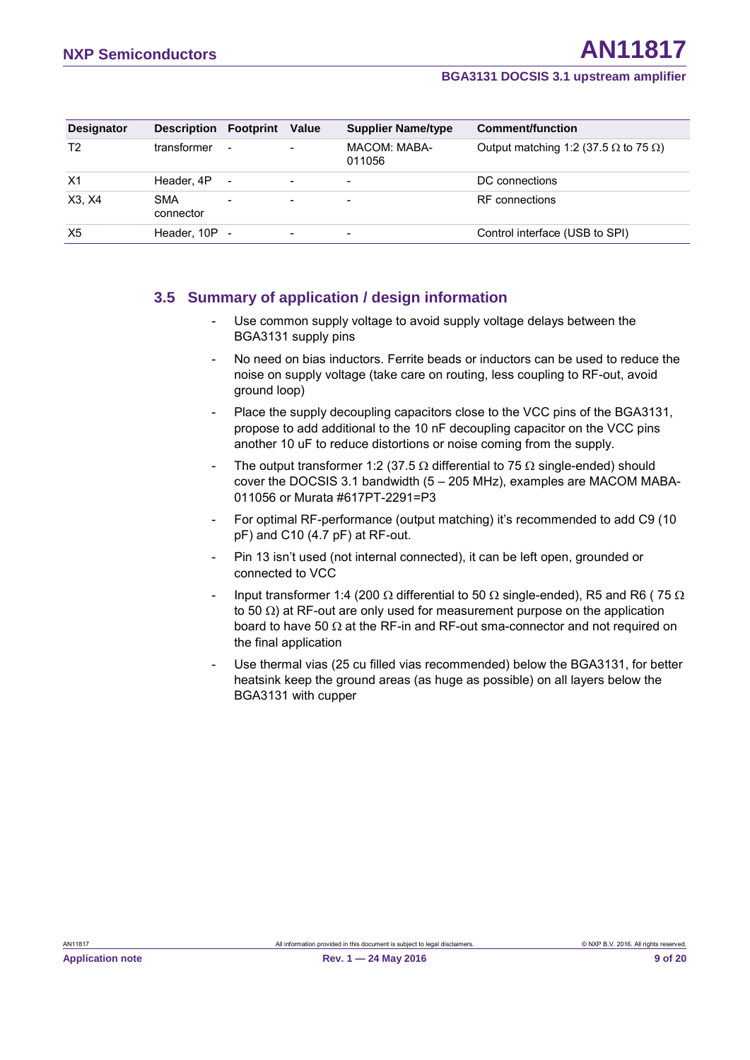| <b>Designator</b> | <b>Description</b>      | Footprint                | Value                    | <b>Supplier Name/type</b> | Comment/function                                    |
|-------------------|-------------------------|--------------------------|--------------------------|---------------------------|-----------------------------------------------------|
| T2                | transformer             | $\overline{\phantom{a}}$ |                          | MACOM: MABA-<br>011056    | Output matching 1:2 (37.5 $\Omega$ to 75 $\Omega$ ) |
| X1                | Header, 4P              | $\qquad \qquad -$        | $\overline{\phantom{0}}$ | $\overline{\phantom{0}}$  | DC connections                                      |
| X3, X4            | <b>SMA</b><br>connector | $\overline{\phantom{0}}$ |                          | $\overline{\phantom{0}}$  | RF connections                                      |
| X <sub>5</sub>    | Header, 10P -           |                          | -                        |                           | Control interface (USB to SPI)                      |

## <span id="page-8-0"></span>**3.5 Summary of application / design information**

- Use common supply voltage to avoid supply voltage delays between the BGA3131 supply pins
- No need on bias inductors. Ferrite beads or inductors can be used to reduce the noise on supply voltage (take care on routing, less coupling to RF-out, avoid ground loop)
- Place the supply decoupling capacitors close to the VCC pins of the BGA3131, propose to add additional to the 10 nF decoupling capacitor on the VCC pins another 10 uF to reduce distortions or noise coming from the supply.
- The output transformer 1:2 (37.5  $\Omega$  differential to 75  $\Omega$  single-ended) should cover the DOCSIS 3.1 bandwidth (5 – 205 MHz), examples are MACOM MABA-011056 or Murata #617PT-2291=P3
- For optimal RF-performance (output matching) it's recommended to add C9 (10 pF) and C10 (4.7 pF) at RF-out.
- Pin 13 isn't used (not internal connected), it can be left open, grounded or connected to VCC
- Input transformer 1:4 (200  $\Omega$  differential to 50  $\Omega$  single-ended), R5 and R6 (75  $\Omega$ to 50  $\Omega$ ) at RF-out are only used for measurement purpose on the application board to have 50  $\Omega$  at the RF-in and RF-out sma-connector and not required on the final application
- Use thermal vias (25 cu filled vias recommended) below the BGA3131, for better heatsink keep the ground areas (as huge as possible) on all layers below the BGA3131 with cupper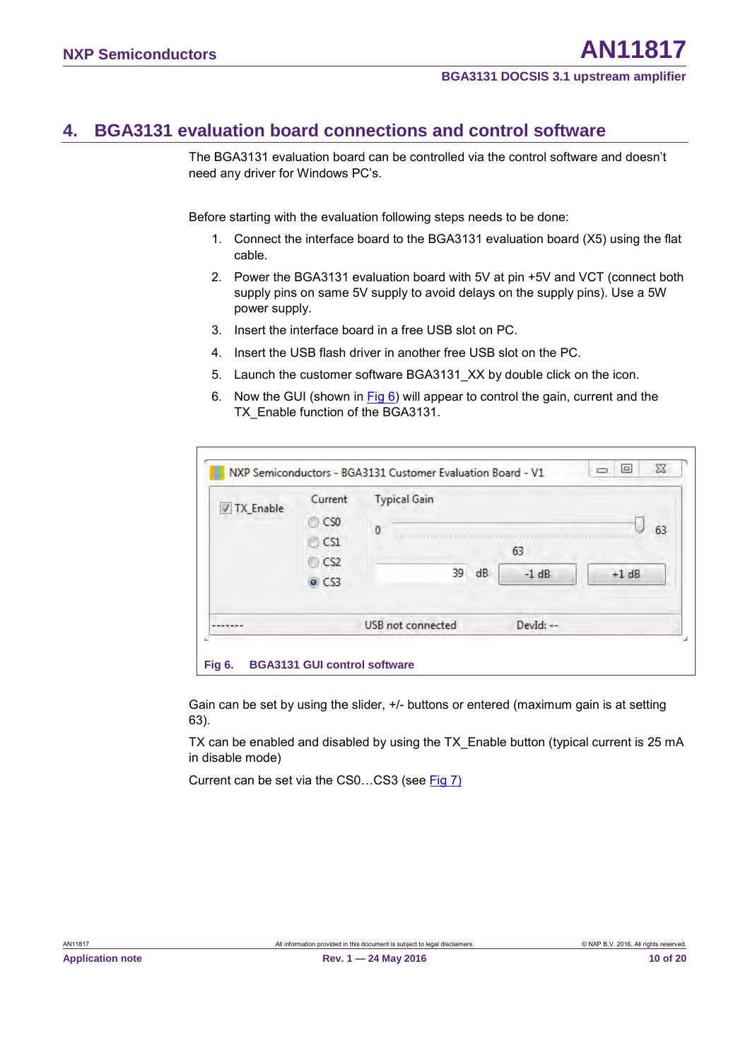## <span id="page-9-1"></span>**4. BGA3131 evaluation board connections and control software**

The BGA3131 evaluation board can be controlled via the control software and doesn't need any driver for Windows PC's.

Before starting with the evaluation following steps needs to be done:

- 1. Connect the interface board to the BGA3131 evaluation board (X5) using the flat cable.
- 2. Power the BGA3131 evaluation board with 5V at pin +5V and VCT (connect both supply pins on same 5V supply to avoid delays on the supply pins). Use a 5W power supply.
- 3. Insert the interface board in a free USB slot on PC.
- 4. Insert the USB flash driver in another free USB slot on the PC.
- 5. Launch the customer software BGA3131\_XX by double click on the icon.
- 6. Now the GUI (shown in Fig 6) will appear to control the gain, current and the TX\_Enable function of the BGA3131.

| <b>V TX Enable</b> | Current<br>$\bigcirc$ CSO             | <b>Typical Gain</b>                             |
|--------------------|---------------------------------------|-------------------------------------------------|
|                    | $\circ$ CS1<br>$\circ$ CS2<br>$Q$ CS3 | 63<br>0<br>63<br>39<br>dB<br>$-1$ dB<br>$+1$ dB |
|                    |                                       | <b>USB</b> not connected<br>Devid: --           |

<span id="page-9-0"></span>Gain can be set by using the slider, +/- buttons or entered (maximum gain is at setting 63).

TX can be enabled and disabled by using the TX\_Enable button (typical current is 25 mA in disable mode)

Current can be set via the CS0…CS3 (see Fig 7)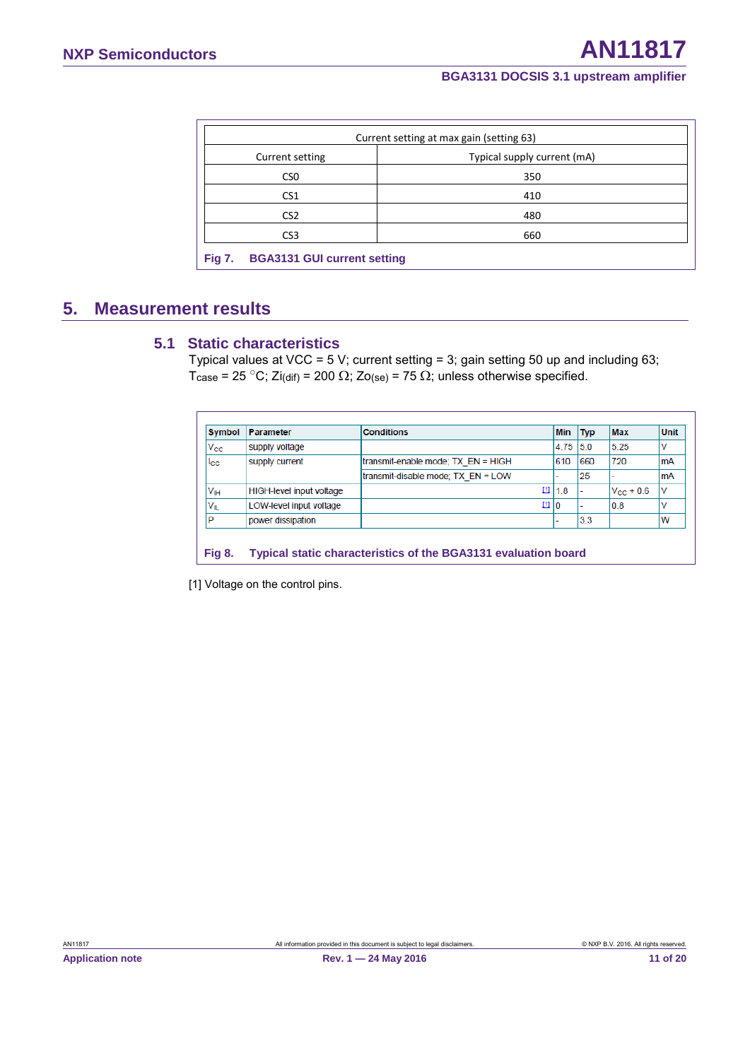<span id="page-10-0"></span>

|                                                     | Current setting at max gain (setting 63) |
|-----------------------------------------------------|------------------------------------------|
| Current setting                                     | Typical supply current (mA)              |
| CS <sub>0</sub>                                     | 350                                      |
| CS <sub>1</sub>                                     | 410                                      |
| CS <sub>2</sub>                                     | 480                                      |
| CS <sub>3</sub>                                     | 660                                      |
| <b>BGA3131 GUI current setting</b><br><b>Fig 7.</b> |                                          |

## <span id="page-10-2"></span>**5. Measurement results**

## <span id="page-10-3"></span>**5.1 Static characteristics**

Typical values at VCC = 5 V; current setting = 3; gain setting 50 up and including 63; Tcase = 25 °C; Zi(dif) = 200  $\Omega$ ; Zo(se) = 75  $\Omega$ ; unless otherwise specified.

<span id="page-10-1"></span>

| <b>Symbol</b>     | Parameter                       | <b>Conditions</b>                  | Min      | <b>Typ</b> | <b>Max</b>     | <b>Unit</b> |
|-------------------|---------------------------------|------------------------------------|----------|------------|----------------|-------------|
| $V_{\rm CC}$      | supply voltage                  |                                    | 4.75 5.0 |            | 5.25           | v           |
| $_{\rm lcc}$      | supply current                  | transmit-enable mode; TX EN = HIGH | 610      | 660        | 720            | <b>mA</b>   |
|                   |                                 | transmit-disable mode: TX EN = LOW |          | 25         |                | <b>mA</b>   |
| Vıн               | <b>HIGH-level input voltage</b> | ш                                  | 11.8     |            | $V_{CC}$ + 0.6 | v           |
| $V_{\parallel L}$ | LOW-level input voltage         | $[1]$                              | 10       |            | 0.8            | v           |
| P                 | power dissipation               |                                    |          | 3.3        |                | W           |

[1] Voltage on the control pins.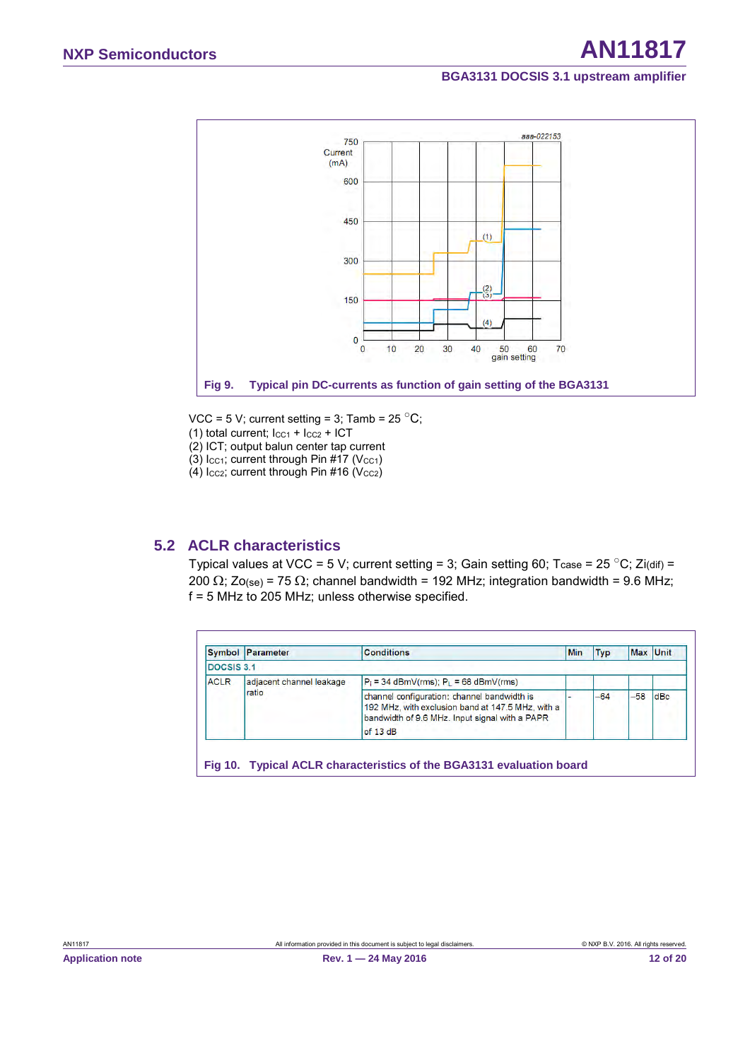

- <span id="page-11-0"></span>VCC = 5 V; current setting = 3; Tamb =  $25\text{ °C}$ ;
- (1) total current;  $I_{CC1} + I_{CC2} + ICT$
- (2) ICT; output balun center tap current
- (3)  $lcc_1$ ; current through Pin #17 ( $Vcc_1$ )
- <span id="page-11-2"></span>(4)  $lccz$ ; current through Pin #16 (V $ccz$ )

## **5.2 ACLR characteristics**

Typical values at VCC = 5 V; current setting = 3; Gain setting 60; Tcase = 25 °C; Zi(dif) = 200  $\Omega$ ; Zo(se) = 75  $\Omega$ ; channel bandwidth = 192 MHz; integration bandwidth = 9.6 MHz; f = 5 MHz to 205 MHz; unless otherwise specified.

<span id="page-11-1"></span>

|             | <b>Symbol Parameter</b>  | <b>Conditions</b>                                                                                                                                              | Min | Typ   | Max Unit |     |
|-------------|--------------------------|----------------------------------------------------------------------------------------------------------------------------------------------------------------|-----|-------|----------|-----|
| DOCSIS 3.1  |                          |                                                                                                                                                                |     |       |          |     |
| <b>ACLR</b> | adjacent channel leakage | $P_i = 34$ dBmV(rms); $P_i = 68$ dBmV(rms)                                                                                                                     |     |       |          |     |
|             | ratio                    | channel configuration: channel bandwidth is<br>192 MHz, with exclusion band at 147.5 MHz, with a<br>bandwidth of 9.6 MHz. Input signal with a PAPR<br>of 13 dB |     | $-64$ | $-58$    | dBc |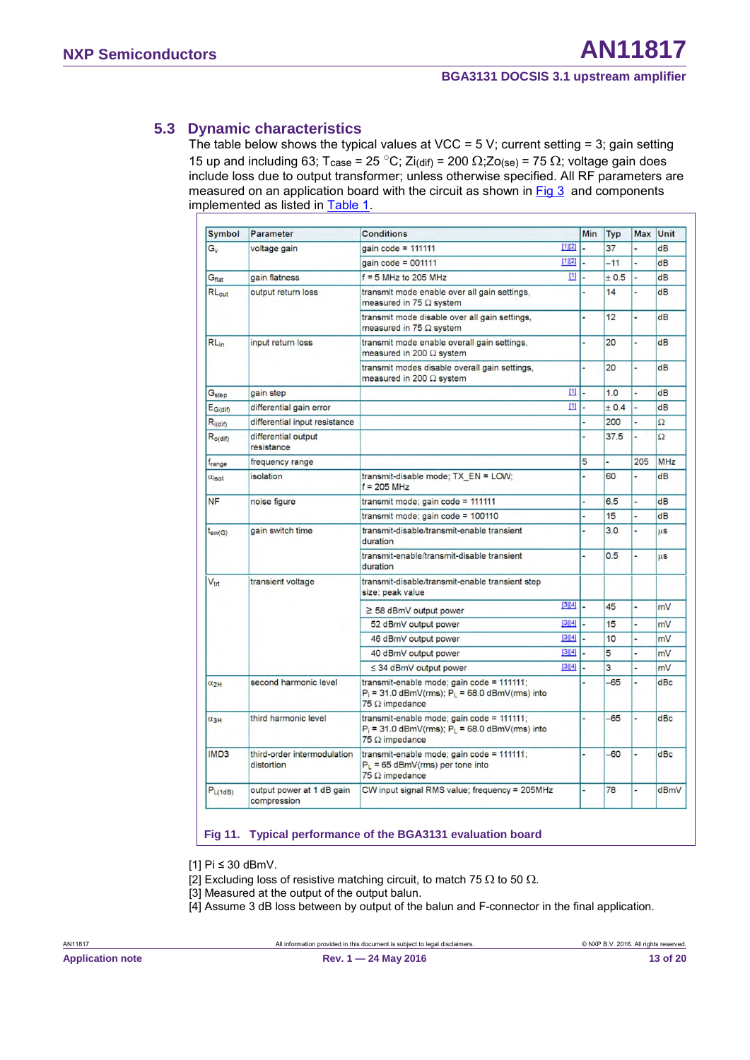## <span id="page-12-1"></span>**5.3 Dynamic characteristics**

The table below shows the typical values at VCC =  $5$  V; current setting = 3; gain setting 15 up and including 63; T<sub>case</sub> = 25 °C; Zi(dif) = 200 Ω; Zo(se) = 75 Ω; voltage gain does include loss due to output transformer; unless otherwise specified. All RF parameters are measured on an application board with the circuit as shown in  $Fig 3$  and components implemented as listed in [Table 1.](#page-7-1)

| <b>Symbol</b>                   | Parameter                                                                       | <b>Conditions</b>                                                                                                         |        | Min | <b>Typ</b> | <b>Max</b>     | Unit       |
|---------------------------------|---------------------------------------------------------------------------------|---------------------------------------------------------------------------------------------------------------------------|--------|-----|------------|----------------|------------|
| $G_{\rm v}$                     | voltage gain                                                                    | gain code = $111111$                                                                                                      | [1][2] |     | 37         |                | dB         |
|                                 |                                                                                 | gain code = $001111$                                                                                                      | [1][2] |     | $-11$      |                | dB         |
| Gflat                           | gain flatness                                                                   | $f = 5$ MHz to 205 MHz                                                                                                    | $[1]$  |     | ± 0.5      |                | dB         |
| RLout                           | output return loss                                                              | transmit mode enable over all gain settings,<br>measured in 75 $\Omega$ system                                            |        |     | 14         | ٠              | dB         |
|                                 | transmit mode disable over all gain settings,<br>measured in 75 $\Omega$ system |                                                                                                                           |        | 12  | L          | dB             |            |
| $RL_{in}$                       | input return loss                                                               | transmit mode enable overall gain settings.<br>measured in 200 $\Omega$ system                                            |        |     | 20         |                | dB         |
|                                 |                                                                                 | transmit modes disable overall gain settings.<br>measured in 200 $\Omega$ system                                          |        |     | 20         | L,             | dB         |
| G <sub>step</sub>               | gain step                                                                       |                                                                                                                           | $[1]$  |     | 1.0        |                | dB         |
| $E_{G(dif)}$                    | differential gain error                                                         |                                                                                                                           | $[1]$  |     | ± 0.4      | u              | dB         |
| $R_{i(dif)}$                    | differential input resistance                                                   |                                                                                                                           |        |     | 200        |                | $\Omega$   |
| $R_{o$ (dif)                    | differential output<br>resistance                                               |                                                                                                                           |        |     | 37.5       |                | $\Omega$   |
| f <sub>range</sub>              | frequency range                                                                 |                                                                                                                           |        | 5   |            | 205            | <b>MHz</b> |
| $\alpha$ <sub>isol</sub>        | isolation                                                                       | transmit-disable mode; TX EN = LOW;<br>$f = 205$ MHz                                                                      |        |     | 60         | $\overline{a}$ | dB         |
| <b>NF</b>                       | noise figure                                                                    | transmit mode; gain code = 111111                                                                                         |        |     | 6.5        |                | dB         |
|                                 |                                                                                 | transmit mode; gain code = 100110                                                                                         |        |     | 15         | $\overline{a}$ | dB         |
| gain switch time<br>$t_{sw(G)}$ |                                                                                 | transmit-disable/transmit-enable transient<br>duration                                                                    |        |     | 3.0        |                | <b>LLS</b> |
|                                 | transmit-enable/transmit-disable transient<br>duration                          |                                                                                                                           |        | 0.5 | L,         | <b>LLS</b>     |            |
| $V_{\text{trt}}$                | transient voltage                                                               | transmit-disable/transmit-enable transient step<br>size; peak value                                                       |        |     |            |                |            |
|                                 |                                                                                 | $\geq$ 58 dBmV output power                                                                                               | [3][4] |     | 45         | L              | mV         |
|                                 |                                                                                 | 52 dBmV output power                                                                                                      | [3][4] |     | 15         |                | mV         |
|                                 |                                                                                 | 46 dBmV output power                                                                                                      | [3][4] |     | 10         | ۷              | mV         |
|                                 |                                                                                 | 40 dBmV output power                                                                                                      | [3][4] |     | 5          |                | mV         |
|                                 |                                                                                 | ≤ 34 dBmV output power                                                                                                    | [3][4] |     | 3          |                | mV         |
| $\alpha_{2H}$                   | second harmonic level                                                           | transmit-enable mode; gain code = 111111;<br>$P_i = 31.0$ dBmV(rms); $P_L = 68.0$ dBmV(rms) into<br>$75 \Omega$ impedance |        |     | $-65$      |                | dBc        |
| $\alpha_{3H}$                   | third harmonic level                                                            | transmit-enable mode; gain code = 111111;<br>$P_1 = 31.0$ dBmV(rms); $P_1 = 68.0$ dBmV(rms) into<br>$75 \Omega$ impedance |        |     | $-65$      |                | dBc        |
| IMD <sub>3</sub>                | third-order intermodulation<br>distortion                                       | transmit-enable mode; gain code = 111111;<br>$P_L = 65$ dBmV(rms) per tone into<br>$75 \Omega$ impedance                  |        |     | $-60$      |                | dBc        |
| P <sub>L(1dB)</sub>             | output power at 1 dB gain<br>compression                                        | CW input signal RMS value; frequency = 205MHz                                                                             |        |     | 78         | $\overline{a}$ | dBmV       |

#### <span id="page-12-0"></span>**Fig 11. Typical performance of the BGA3131 evaluation board**

[1] Pi ≤ 30 dBmV.

[2] Excluding loss of resistive matching circuit, to match 75  $\Omega$  to 50  $\Omega$ .

- [3] Measured at the output of the output balun.
- [4] Assume 3 dB loss between by output of the balun and F-connector in the final application.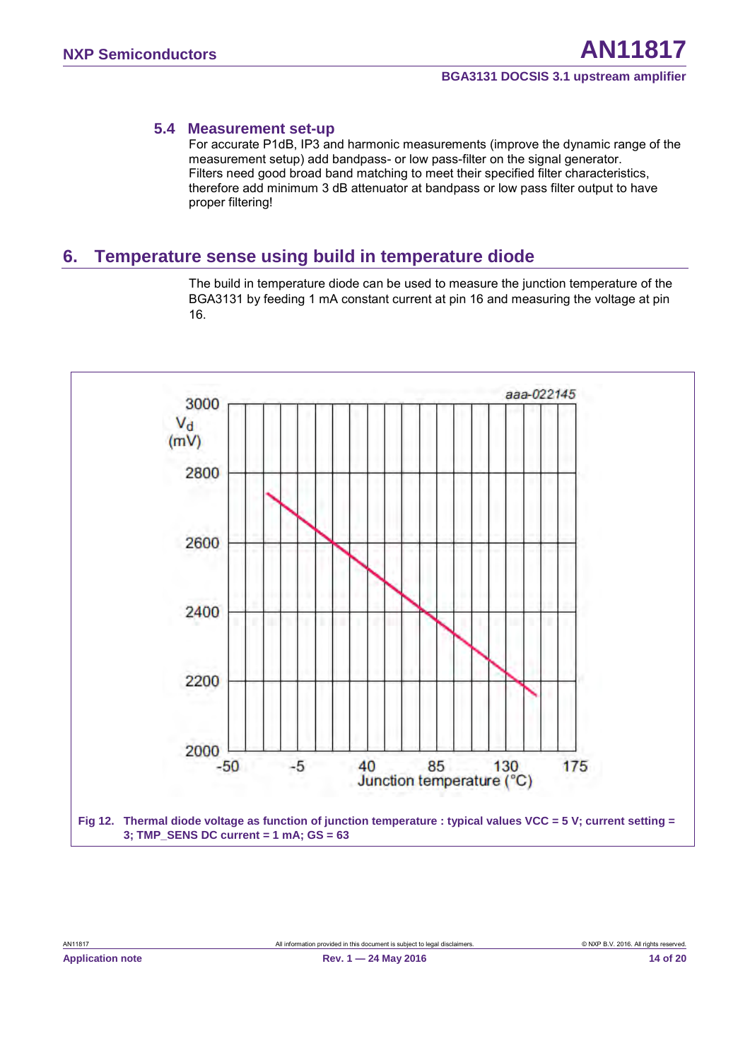#### <span id="page-13-1"></span>**5.4 Measurement set-up**

For accurate P1dB, IP3 and harmonic measurements (improve the dynamic range of the measurement setup) add bandpass- or low pass-filter on the signal generator. Filters need good broad band matching to meet their specified filter characteristics, therefore add minimum 3 dB attenuator at bandpass or low pass filter output to have proper filtering!

## <span id="page-13-2"></span>**6. Temperature sense using build in temperature diode**

The build in temperature diode can be used to measure the junction temperature of the BGA3131 by feeding 1 mA constant current at pin 16 and measuring the voltage at pin 16.

<span id="page-13-0"></span>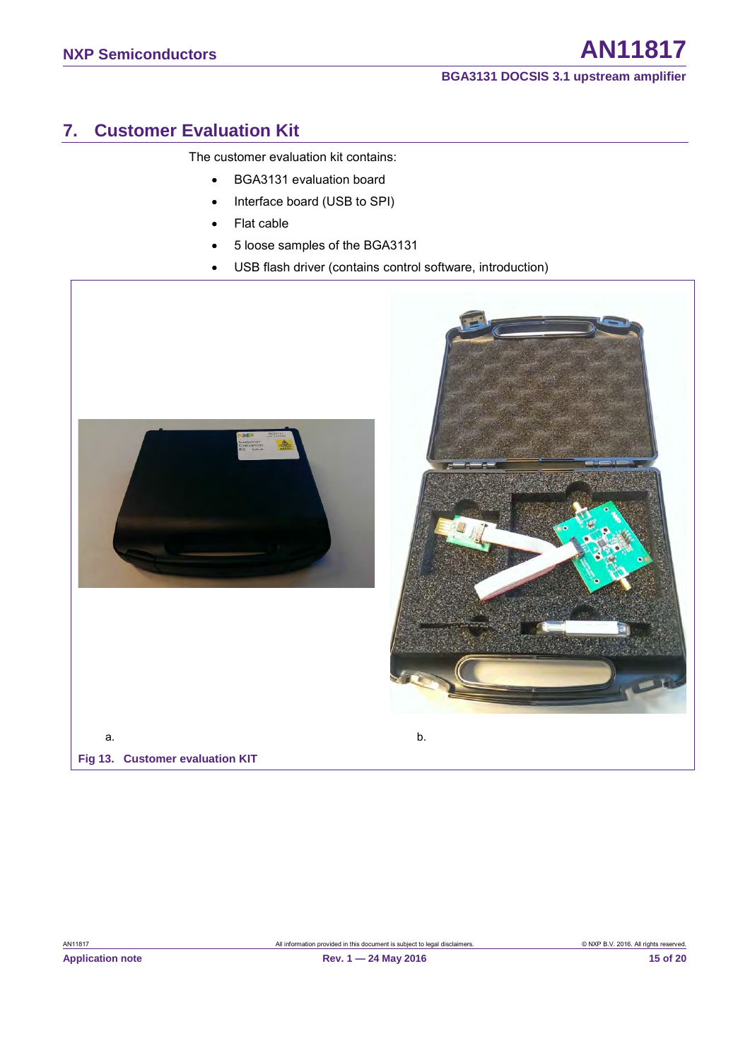## <span id="page-14-1"></span>**7. Customer Evaluation Kit**

The customer evaluation kit contains:

- BGA3131 evaluation board
- Interface board (USB to SPI)
- Flat cable
- 5 loose samples of the BGA3131
- USB flash driver (contains control software, introduction)

<span id="page-14-0"></span>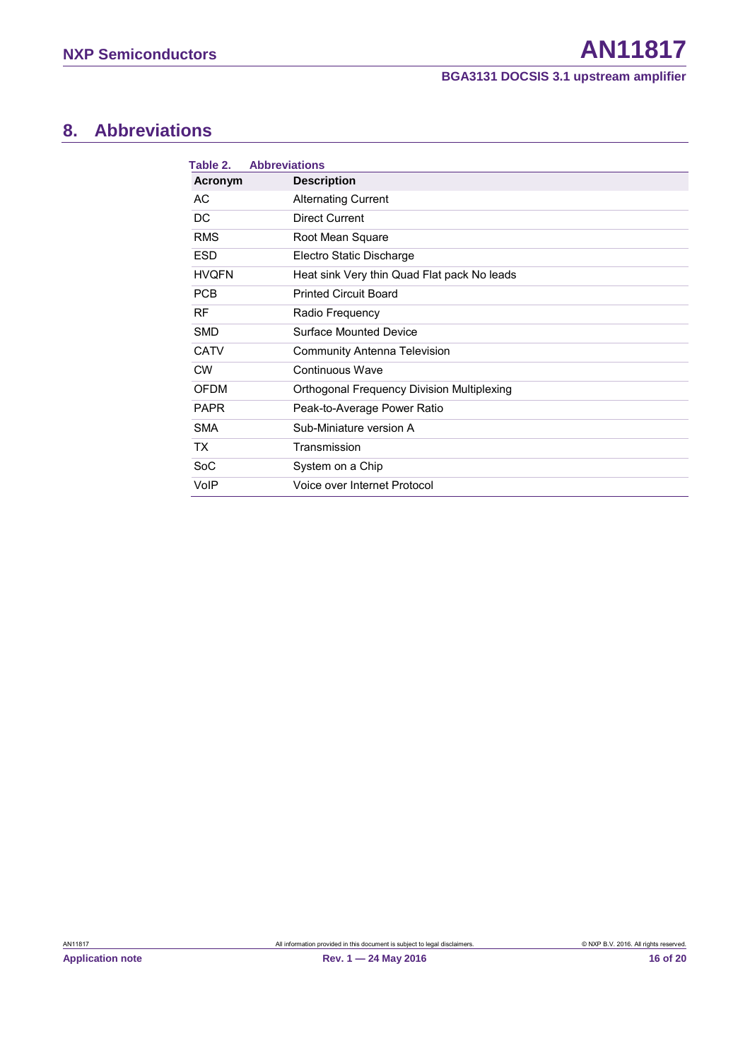## <span id="page-15-1"></span>**8. Abbreviations**

<span id="page-15-0"></span>

| Table 2.     | <b>Abbreviations</b>                        |
|--------------|---------------------------------------------|
| Acronym      | <b>Description</b>                          |
| AC           | <b>Alternating Current</b>                  |
| DC           | Direct Current                              |
| <b>RMS</b>   | Root Mean Square                            |
| <b>ESD</b>   | Electro Static Discharge                    |
| <b>HVQFN</b> | Heat sink Very thin Quad Flat pack No leads |
| <b>PCB</b>   | <b>Printed Circuit Board</b>                |
| <b>RF</b>    | Radio Frequency                             |
| <b>SMD</b>   | Surface Mounted Device                      |
| <b>CATV</b>  | <b>Community Antenna Television</b>         |
| <b>CW</b>    | Continuous Wave                             |
| <b>OFDM</b>  | Orthogonal Frequency Division Multiplexing  |
| <b>PAPR</b>  | Peak-to-Average Power Ratio                 |
| <b>SMA</b>   | Sub-Miniature version A                     |
| TX.          | Transmission                                |
| <b>SoC</b>   | System on a Chip                            |
| VoIP         | Voice over Internet Protocol                |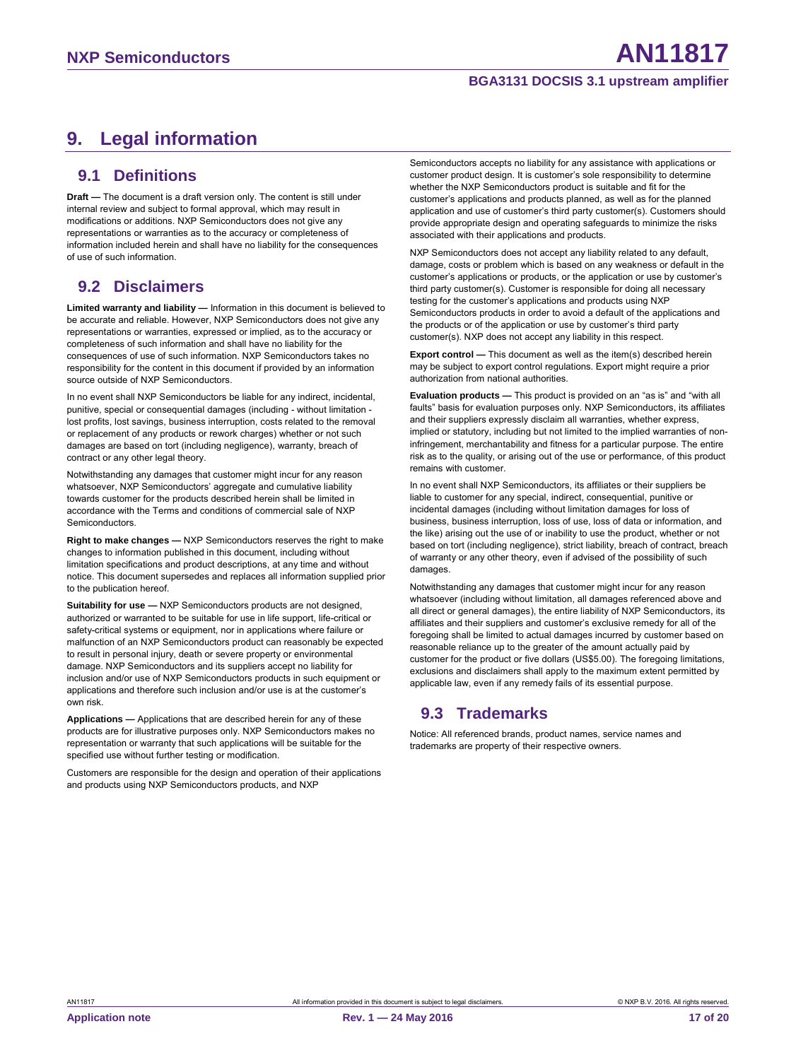## <span id="page-16-0"></span>**9. Legal information**

#### <span id="page-16-1"></span>**9.1 Definitions**

**Draft —** The document is a draft version only. The content is still under internal review and subject to formal approval, which may result in modifications or additions. NXP Semiconductors does not give any representations or warranties as to the accuracy or completeness of information included herein and shall have no liability for the consequences of use of such information.

## <span id="page-16-2"></span>**9.2 Disclaimers**

**Limited warranty and liability —** Information in this document is believed to be accurate and reliable. However, NXP Semiconductors does not give any representations or warranties, expressed or implied, as to the accuracy or completeness of such information and shall have no liability for the consequences of use of such information. NXP Semiconductors takes no responsibility for the content in this document if provided by an information source outside of NXP Semiconductors.

In no event shall NXP Semiconductors be liable for any indirect, incidental, punitive, special or consequential damages (including - without limitation lost profits, lost savings, business interruption, costs related to the removal or replacement of any products or rework charges) whether or not such damages are based on tort (including negligence), warranty, breach of contract or any other legal theory.

Notwithstanding any damages that customer might incur for any reason whatsoever, NXP Semiconductors' aggregate and cumulative liability towards customer for the products described herein shall be limited in accordance with the Terms and conditions of commercial sale of NXP Semiconductors.

**Right to make changes —** NXP Semiconductors reserves the right to make changes to information published in this document, including without limitation specifications and product descriptions, at any time and without notice. This document supersedes and replaces all information supplied prior to the publication hereof.

**Suitability for use —** NXP Semiconductors products are not designed, authorized or warranted to be suitable for use in life support, life-critical or safety-critical systems or equipment, nor in applications where failure or malfunction of an NXP Semiconductors product can reasonably be expected to result in personal injury, death or severe property or environmental damage. NXP Semiconductors and its suppliers accept no liability for inclusion and/or use of NXP Semiconductors products in such equipment or applications and therefore such inclusion and/or use is at the customer's own risk.

**Applications —** Applications that are described herein for any of these products are for illustrative purposes only. NXP Semiconductors makes no representation or warranty that such applications will be suitable for the specified use without further testing or modification.

Customers are responsible for the design and operation of their applications and products using NXP Semiconductors products, and NXP

Semiconductors accepts no liability for any assistance with applications or customer product design. It is customer's sole responsibility to determine whether the NXP Semiconductors product is suitable and fit for the customer's applications and products planned, as well as for the planned application and use of customer's third party customer(s). Customers should provide appropriate design and operating safeguards to minimize the risks associated with their applications and products.

NXP Semiconductors does not accept any liability related to any default, damage, costs or problem which is based on any weakness or default in the customer's applications or products, or the application or use by customer's third party customer(s). Customer is responsible for doing all necessary testing for the customer's applications and products using NXP Semiconductors products in order to avoid a default of the applications and the products or of the application or use by customer's third party customer(s). NXP does not accept any liability in this respect.

**Export control —** This document as well as the item(s) described herein may be subject to export control regulations. Export might require a prior authorization from national authorities.

**Evaluation products —** This product is provided on an "as is" and "with all faults" basis for evaluation purposes only. NXP Semiconductors, its affiliates and their suppliers expressly disclaim all warranties, whether express, implied or statutory, including but not limited to the implied warranties of noninfringement, merchantability and fitness for a particular purpose. The entire risk as to the quality, or arising out of the use or performance, of this product remains with customer.

In no event shall NXP Semiconductors, its affiliates or their suppliers be liable to customer for any special, indirect, consequential, punitive or incidental damages (including without limitation damages for loss of business, business interruption, loss of use, loss of data or information, and the like) arising out the use of or inability to use the product, whether or not based on tort (including negligence), strict liability, breach of contract, breach of warranty or any other theory, even if advised of the possibility of such damages.

Notwithstanding any damages that customer might incur for any reason whatsoever (including without limitation, all damages referenced above and all direct or general damages), the entire liability of NXP Semiconductors, its affiliates and their suppliers and customer's exclusive remedy for all of the foregoing shall be limited to actual damages incurred by customer based on reasonable reliance up to the greater of the amount actually paid by customer for the product or five dollars (US\$5.00). The foregoing limitations, exclusions and disclaimers shall apply to the maximum extent permitted by applicable law, even if any remedy fails of its essential purpose.

## <span id="page-16-3"></span>**9.3 Trademarks**

Notice: All referenced brands, product names, service names and trademarks are property of their respective owners.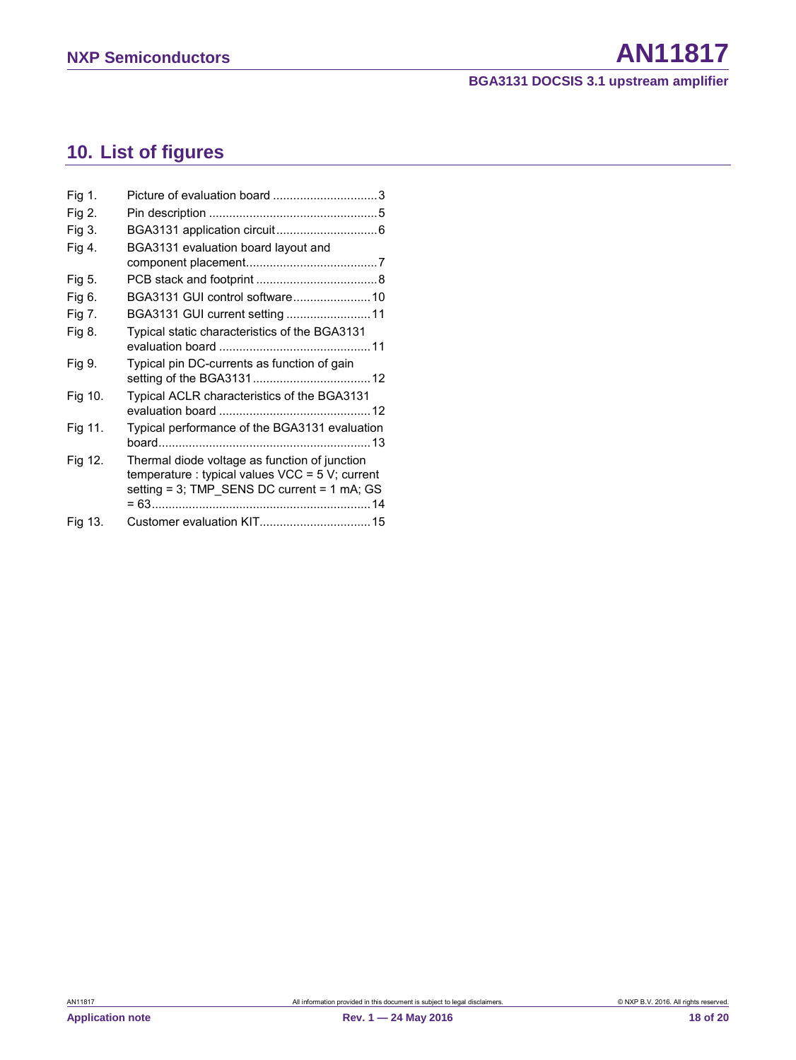# <span id="page-17-0"></span>**10. List of figures**

| Fig 1.  | Picture of evaluation board 3                                                                                                                      |
|---------|----------------------------------------------------------------------------------------------------------------------------------------------------|
| Fig 2.  |                                                                                                                                                    |
| Fig 3.  |                                                                                                                                                    |
| Fig 4.  | BGA3131 evaluation board layout and                                                                                                                |
|         |                                                                                                                                                    |
| Fig 5.  |                                                                                                                                                    |
| Fig 6.  | BGA3131 GUI control software 10                                                                                                                    |
| Fig 7.  | BGA3131 GUI current setting 11                                                                                                                     |
| Fig 8.  | Typical static characteristics of the BGA3131                                                                                                      |
|         |                                                                                                                                                    |
| Fig 9.  | Typical pin DC-currents as function of gain                                                                                                        |
| Fig 10. | Typical ACLR characteristics of the BGA3131                                                                                                        |
| Fig 11. | Typical performance of the BGA3131 evaluation                                                                                                      |
| Fig 12. | Thermal diode voltage as function of junction<br>temperature : typical values $VCC = 5 V$ ; current<br>setting = 3; TMP SENS DC current = 1 mA; GS |
| Fig 13. |                                                                                                                                                    |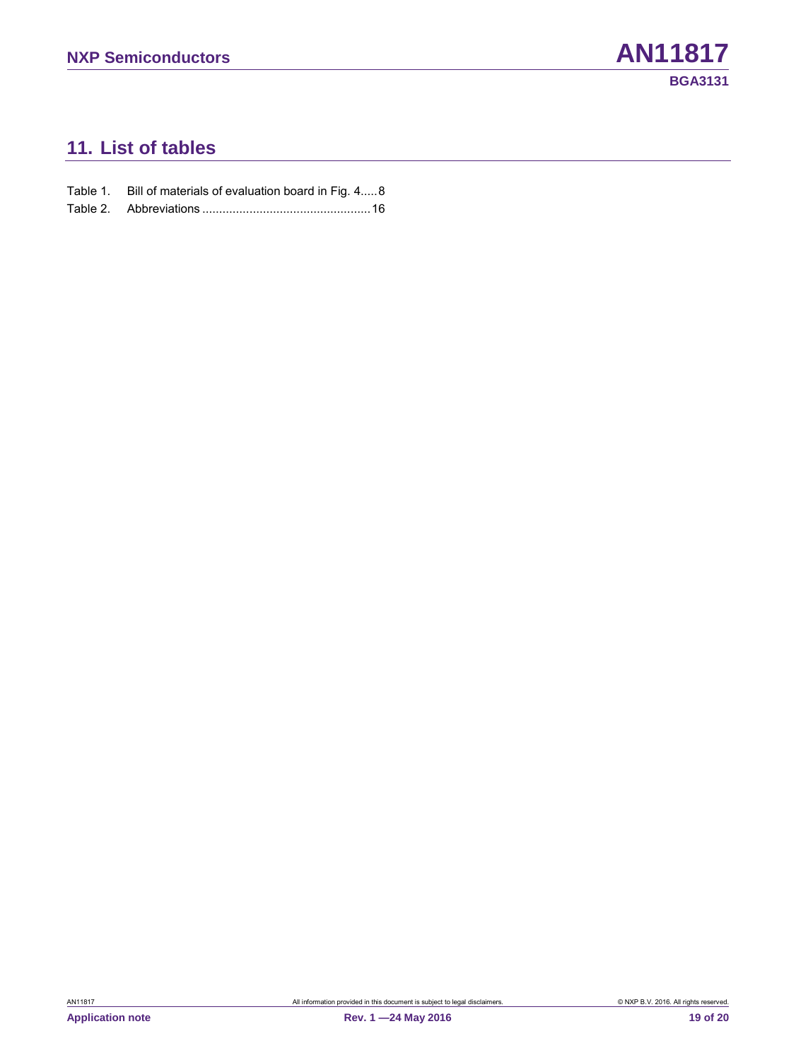## <span id="page-18-0"></span>**11. List of tables**

Table 2. Abbreviations [..................................................16](#page-15-0)